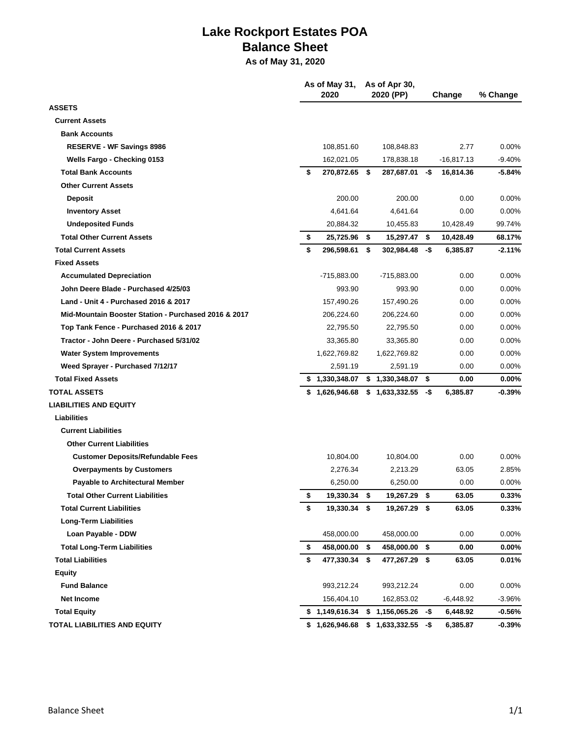## **Lake Rockport Estates POA Balance Sheet**

**As of May 31, 2020**

|                                                      |    | As of May 31,<br>2020 |      | As of Apr 30,<br>2020 (PP) | Change |              | % Change |
|------------------------------------------------------|----|-----------------------|------|----------------------------|--------|--------------|----------|
| <b>ASSETS</b>                                        |    |                       |      |                            |        |              |          |
| <b>Current Assets</b>                                |    |                       |      |                            |        |              |          |
| <b>Bank Accounts</b>                                 |    |                       |      |                            |        |              |          |
| <b>RESERVE - WF Savings 8986</b>                     |    | 108,851.60            |      | 108,848.83                 |        | 2.77         | $0.00\%$ |
| Wells Fargo - Checking 0153                          |    | 162,021.05            |      | 178,838.18                 |        | $-16,817.13$ | $-9.40%$ |
| <b>Total Bank Accounts</b>                           | \$ | 270,872.65 \$         |      | 287,687.01 - \$            |        | 16,814.36    | $-5.84%$ |
| <b>Other Current Assets</b>                          |    |                       |      |                            |        |              |          |
| <b>Deposit</b>                                       |    | 200.00                |      | 200.00                     |        | 0.00         | $0.00\%$ |
| <b>Inventory Asset</b>                               |    | 4,641.64              |      | 4.641.64                   |        | 0.00         | $0.00\%$ |
| <b>Undeposited Funds</b>                             |    | 20,884.32             |      | 10,455.83                  |        | 10,428.49    | 99.74%   |
| <b>Total Other Current Assets</b>                    | \$ | 25,725.96             | - \$ | 15,297.47 \$               |        | 10,428.49    | 68.17%   |
| <b>Total Current Assets</b>                          | \$ | 296,598.61            | \$   | $302,984.48 - $$           |        | 6,385.87     | $-2.11%$ |
| <b>Fixed Assets</b>                                  |    |                       |      |                            |        |              |          |
| <b>Accumulated Depreciation</b>                      |    | -715,883.00           |      | -715,883.00                |        | 0.00         | 0.00%    |
| John Deere Blade - Purchased 4/25/03                 |    | 993.90                |      | 993.90                     |        | 0.00         | $0.00\%$ |
| Land - Unit 4 - Purchased 2016 & 2017                |    | 157,490.26            |      | 157,490.26                 |        | 0.00         | $0.00\%$ |
| Mid-Mountain Booster Station - Purchased 2016 & 2017 |    | 206,224.60            |      | 206,224.60                 |        | 0.00         | $0.00\%$ |
| Top Tank Fence - Purchased 2016 & 2017               |    | 22,795.50             |      | 22,795.50                  |        | 0.00         | $0.00\%$ |
| Tractor - John Deere - Purchased 5/31/02             |    | 33,365.80             |      | 33,365.80                  |        | 0.00         | 0.00%    |
| <b>Water System Improvements</b>                     |    | 1,622,769.82          |      | 1,622,769.82               |        | 0.00         | 0.00%    |
| Weed Sprayer - Purchased 7/12/17                     |    | 2,591.19              |      | 2,591.19                   |        | 0.00         | $0.00\%$ |
| <b>Total Fixed Assets</b>                            |    | \$1,330,348.07        |      | $$1,330,348.07$ \$         |        | 0.00         | $0.00\%$ |
| <b>TOTAL ASSETS</b>                                  |    | \$1,626,946.68        |      | \$1,633,332.55             | -\$    | 6,385.87     | $-0.39%$ |
| <b>LIABILITIES AND EQUITY</b>                        |    |                       |      |                            |        |              |          |
| Liabilities                                          |    |                       |      |                            |        |              |          |
| <b>Current Liabilities</b>                           |    |                       |      |                            |        |              |          |
| <b>Other Current Liabilities</b>                     |    |                       |      |                            |        |              |          |
| <b>Customer Deposits/Refundable Fees</b>             |    | 10,804.00             |      | 10,804.00                  |        | 0.00         | 0.00%    |
| <b>Overpayments by Customers</b>                     |    | 2,276.34              |      | 2,213.29                   |        | 63.05        | 2.85%    |
| <b>Payable to Architectural Member</b>               |    | 6,250.00              |      | 6,250.00                   |        | 0.00         | $0.00\%$ |
| <b>Total Other Current Liabilities</b>               | \$ | 19,330.34             | \$   | 19,267.29                  | \$     | 63.05        | 0.33%    |
| <b>Total Current Liabilities</b>                     | \$ | 19,330.34 \$          |      | 19,267.29 \$               |        | 63.05        | 0.33%    |
| <b>Long-Term Liabilities</b>                         |    |                       |      |                            |        |              |          |
| Loan Payable - DDW                                   |    | 458,000.00            |      | 458,000.00                 |        | 0.00         | $0.00\%$ |
| <b>Total Long-Term Liabilities</b>                   | \$ | 458,000.00 \$         |      | 458,000.00 \$              |        | 0.00         | $0.00\%$ |
| <b>Total Liabilities</b>                             | \$ | 477,330.34 \$         |      | 477,267.29 \$              |        | 63.05        | $0.01\%$ |
| Equity                                               |    |                       |      |                            |        |              |          |
| <b>Fund Balance</b>                                  |    | 993,212.24            |      | 993,212.24                 |        | 0.00         | 0.00%    |
| <b>Net Income</b>                                    |    | 156,404.10            |      | 162,853.02                 |        | $-6,448.92$  | $-3.96%$ |
| <b>Total Equity</b>                                  |    | \$1,149,616.34        |      | $$1,156,065.26$ -\$        |        | 6,448.92     | $-0.56%$ |
| TOTAL LIABILITIES AND EQUITY                         |    | \$1,626,946.68        |      | $$1,633,332.55$ -\$        |        | 6,385.87     | $-0.39%$ |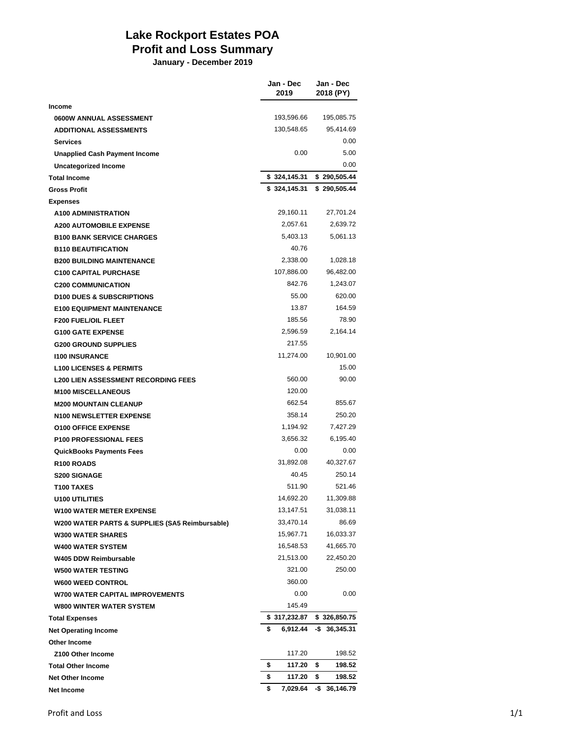## **Lake Rockport Estates POA Profit and Loss Summary**

**January - December 2019**

|                                                | Jan - Dec<br>2019 | Jan - Dec<br>2018 (PY) |
|------------------------------------------------|-------------------|------------------------|
| <b>Income</b>                                  |                   |                        |
| 0600W ANNUAL ASSESSMENT                        | 193,596.66        | 195,085.75             |
| <b>ADDITIONAL ASSESSMENTS</b>                  | 130,548.65        | 95,414.69              |
| <b>Services</b>                                |                   | 0.00                   |
| Unapplied Cash Payment Income                  | 0.00              | 5.00                   |
| <b>Uncategorized Income</b>                    |                   | 0.00                   |
| <b>Total Income</b>                            | \$324,145.31      | \$290,505.44           |
| <b>Gross Profit</b>                            | \$324,145.31      | \$290,505.44           |
| <b>Expenses</b>                                |                   |                        |
| <b>A100 ADMINISTRATION</b>                     | 29,160.11         | 27,701.24              |
| <b>A200 AUTOMOBILE EXPENSE</b>                 | 2,057.61          | 2,639.72               |
| <b>B100 BANK SERVICE CHARGES</b>               | 5,403.13          | 5,061.13               |
| <b>B110 BEAUTIFICATION</b>                     | 40.76             |                        |
| <b>B200 BUILDING MAINTENANCE</b>               | 2.338.00          | 1,028.18               |
| <b>C100 CAPITAL PURCHASE</b>                   | 107,886.00        | 96,482.00              |
| <b>C200 COMMUNICATION</b>                      | 842.76            | 1,243.07               |
| <b>D100 DUES &amp; SUBSCRIPTIONS</b>           | 55.00             | 620.00                 |
| <b>E100 EQUIPMENT MAINTENANCE</b>              | 13.87             | 164.59                 |
| <b>F200 FUEL/OIL FLEET</b>                     | 185.56            | 78.90                  |
| <b>G100 GATE EXPENSE</b>                       | 2,596.59          | 2,164.14               |
| <b>G200 GROUND SUPPLIES</b>                    | 217.55            |                        |
| <b>1100 INSURANCE</b>                          | 11,274.00         | 10,901.00              |
| <b>L100 LICENSES &amp; PERMITS</b>             |                   | 15.00                  |
| <b>L200 LIEN ASSESSMENT RECORDING FEES</b>     | 560.00            | 90.00                  |
| <b>M100 MISCELLANEOUS</b>                      | 120.00            |                        |
| <b>M200 MOUNTAIN CLEANUP</b>                   | 662.54            | 855.67                 |
| <b>N100 NEWSLETTER EXPENSE</b>                 | 358.14            | 250.20                 |
| <b>O100 OFFICE EXPENSE</b>                     | 1,194.92          | 7,427.29               |
| <b>P100 PROFESSIONAL FEES</b>                  | 3,656.32          | 6,195.40               |
| <b>QuickBooks Payments Fees</b>                | 0.00              | 0.00                   |
| R100 ROADS                                     | 31,892.08         | 40,327.67              |
| <b>S200 SIGNAGE</b>                            | 40.45             | 250.14                 |
| T100 TAXES                                     | 511.90            | 521.46                 |
| <b>U100 UTILITIES</b>                          | 14,692.20         | 11,309.88              |
| <b>W100 WATER METER EXPENSE</b>                | 13,147.51         | 31,038.11              |
| W200 WATER PARTS & SUPPLIES (SA5 Reimbursable) | 33,470.14         | 86.69                  |
| <b>W300 WATER SHARES</b>                       | 15,967.71         | 16,033.37              |
| <b>W400 WATER SYSTEM</b>                       | 16,548.53         | 41,665.70              |
| W405 DDW Reimbursable                          | 21,513.00         | 22,450.20              |
| <b>W500 WATER TESTING</b>                      | 321.00            | 250.00                 |
| <b>W600 WEED CONTROL</b>                       | 360.00            |                        |
| <b>W700 WATER CAPITAL IMPROVEMENTS</b>         | 0.00              | 0.00                   |
| <b>W800 WINTER WATER SYSTEM</b>                | 145.49            |                        |
| <b>Total Expenses</b>                          | \$317,232.87      | \$326,850.75           |
| <b>Net Operating Income</b>                    | \$<br>6,912.44    | $-$ \$ 36,345.31       |
| <b>Other Income</b>                            |                   |                        |
| Z100 Other Income                              | 117.20            | 198.52                 |
| <b>Total Other Income</b>                      | 117.20<br>\$      | 198.52<br>\$           |
| <b>Net Other Income</b>                        | 117.20<br>\$      | 198.52<br>\$           |
| <b>Net Income</b>                              | \$<br>7,029.64    | $-$ \$ 36,146.79       |